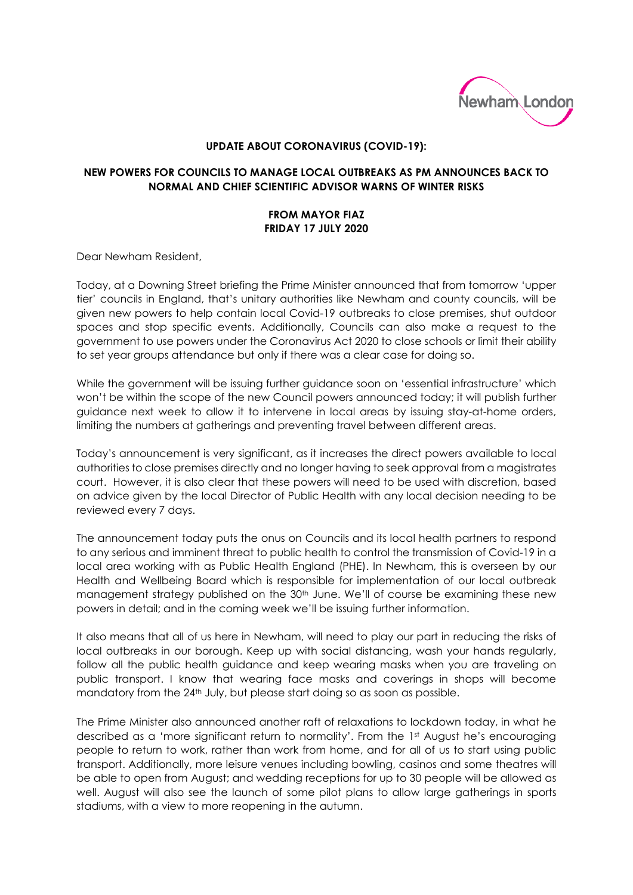

## **UPDATE ABOUT CORONAVIRUS (COVID-19):**

## **NEW POWERS FOR COUNCILS TO MANAGE LOCAL OUTBREAKS AS PM ANNOUNCES BACK TO NORMAL AND CHIEF SCIENTIFIC ADVISOR WARNS OF WINTER RISKS**

## **FROM MAYOR FIAZ FRIDAY 17 JULY 2020**

Dear Newham Resident,

Today, at a Downing Street briefing the Prime Minister announced that from tomorrow 'upper tier' councils in England, that's unitary authorities like Newham and county councils, will be given new powers to help contain local Covid-19 outbreaks to close premises, shut outdoor spaces and stop specific events. Additionally, Councils can also make a request to the government to use powers under the Coronavirus Act 2020 to close schools or limit their ability to set year groups attendance but only if there was a clear case for doing so.

While the government will be issuing further guidance soon on 'essential infrastructure' which won't be within the scope of the new Council powers announced today; it will publish further guidance next week to allow it to intervene in local areas by issuing stay-at-home orders, limiting the numbers at gatherings and preventing travel between different areas.

Today's announcement is very significant, as it increases the direct powers available to local authorities to close premises directly and no longer having to seek approval from a magistrates court. However, it is also clear that these powers will need to be used with discretion, based on advice given by the local Director of Public Health with any local decision needing to be reviewed every 7 days.

The announcement today puts the onus on Councils and its local health partners to respond to any serious and imminent threat to public health to control the transmission of Covid-19 in a local area working with as Public Health England (PHE). In Newham, this is overseen by our Health and Wellbeing Board which is responsible for implementation of our local outbreak management strategy published on the 30<sup>th</sup> June. We'll of course be examining these new powers in detail; and in the coming week we'll be issuing further information.

It also means that all of us here in Newham, will need to play our part in reducing the risks of local outbreaks in our borough. Keep up with social distancing, wash your hands regularly, follow all the public health guidance and keep wearing masks when you are traveling on public transport. I know that wearing face masks and coverings in shops will become mandatory from the 24th July, but please start doing so as soon as possible.

The Prime Minister also announced another raft of relaxations to lockdown today, in what he described as a 'more significant return to normality'. From the 1<sup>st</sup> August he's encouraging people to return to work, rather than work from home, and for all of us to start using public transport. Additionally, more leisure venues including bowling, casinos and some theatres will be able to open from August; and wedding receptions for up to 30 people will be allowed as well. August will also see the launch of some pilot plans to allow large gatherings in sports stadiums, with a view to more reopening in the autumn.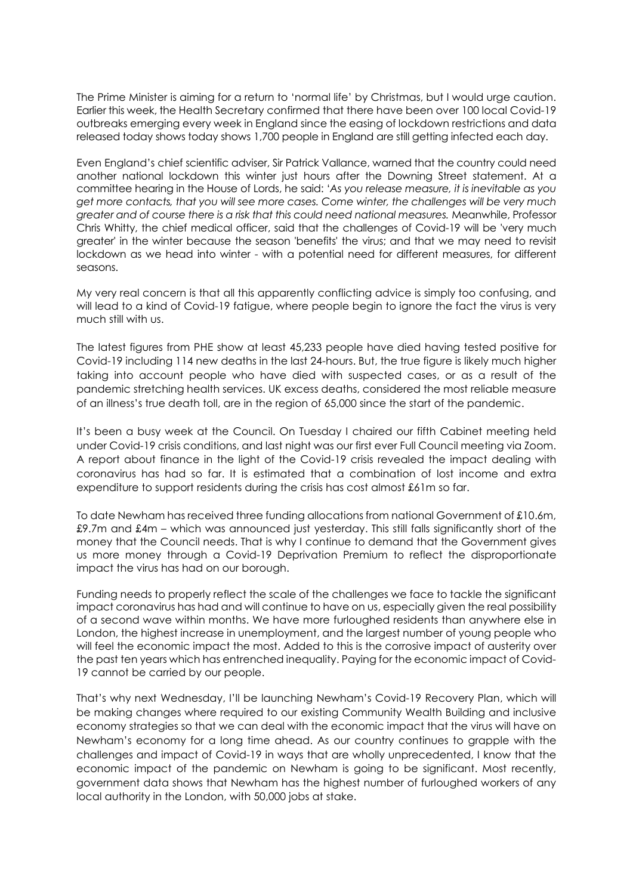The Prime Minister is aiming for a return to 'normal life' by Christmas, but I would urge caution. Earlier this week, the Health Secretary confirmed that there have been over 100 local Covid-19 outbreaks emerging every week in England since the easing of lockdown restrictions and data released today shows today shows 1,700 people in England are still getting infected each day.

Even England's chief scientific adviser, Sir Patrick Vallance, warned that the country could need another national lockdown this winter just hours after the Downing Street statement. At a committee hearing in the House of Lords, he said: '*As you release measure, it is inevitable as you get more contacts, that you will see more cases. Come winter, the challenges will be very much greater and of course there is a risk that this could need national measures.* Meanwhile, Professor Chris Whitty, the chief medical officer, said that the challenges of Covid-19 will be 'very much greater' in the winter because the season 'benefits' the virus; and that we may need to revisit lockdown as we head into winter - with a potential need for different measures, for different seasons.

My very real concern is that all this apparently conflicting advice is simply too confusing, and will lead to a kind of Covid-19 fatigue, where people begin to ignore the fact the virus is very much still with us.

The latest figures from PHE show at least 45,233 people have died having tested positive for Covid-19 including 114 new deaths in the last 24-hours. But, the true figure is likely much higher taking into account people who have died with suspected cases, or as a result of the pandemic stretching health services. UK excess deaths, considered the most reliable measure of an illness's true death toll, are in the region of 65,000 since the start of the pandemic.

It's been a busy week at the Council. On Tuesday I chaired our fifth Cabinet meeting held under Covid-19 crisis conditions, and last night was our first ever Full Council meeting via Zoom. A report about finance in the light of the Covid-19 crisis revealed the impact dealing with coronavirus has had so far. It is estimated that a combination of lost income and extra expenditure to support residents during the crisis has cost almost £61m so far.

To date Newham has received three funding allocations from national Government of £10.6m, £9.7m and £4m – which was announced just yesterday. This still falls significantly short of the money that the Council needs. That is why I continue to demand that the Government gives us more money through a Covid-19 Deprivation Premium to reflect the disproportionate impact the virus has had on our borough.

Funding needs to properly reflect the scale of the challenges we face to tackle the significant impact coronavirus has had and will continue to have on us, especially given the real possibility of a second wave within months. We have more furloughed residents than anywhere else in London, the highest increase in unemployment, and the largest number of young people who will feel the economic impact the most. Added to this is the corrosive impact of austerity over the past ten years which has entrenched inequality. Paying for the economic impact of Covid-19 cannot be carried by our people.

That's why next Wednesday, I'll be launching Newham's Covid-19 Recovery Plan, which will be making changes where required to our existing Community Wealth Building and inclusive economy strategies so that we can deal with the economic impact that the virus will have on Newham's economy for a long time ahead. As our country continues to grapple with the challenges and impact of Covid-19 in ways that are wholly unprecedented, I know that the economic impact of the pandemic on Newham is going to be significant. Most recently, government data shows that Newham has the highest number of furloughed workers of any local authority in the London, with 50,000 jobs at stake.